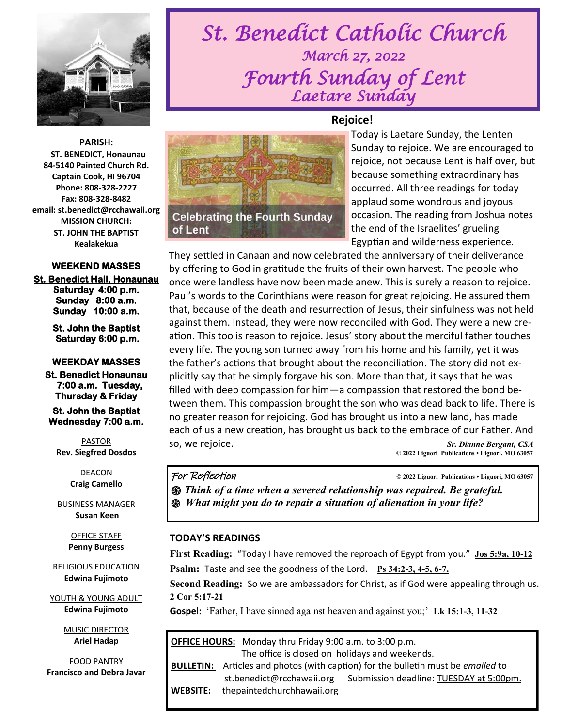

**PARISH: ST. BENEDICT, Honaunau 84-5140 Painted Church Rd. Captain Cook, HI 96704 Phone: 808-328-2227 Fax: 808-328-8482 email: st.benedict@rcchawaii.org MISSION CHURCH: ST. JOHN THE BAPTIST Kealakekua** 

#### **WEEKEND MASSES**

**St. Benedict Hall, Honaunau Saturday 4:00 p.m. Sunday 8:00 a.m. Sunday 10:00 a.m.** 

> **St. John the Baptist Saturday 6:00 p.m.**

#### **WEEKDAY MASSES**

**St. Benedict Honaunau 7:00 a.m. Tuesday, Thursday & Friday** 

**St. John the Baptist Wednesday 7:00 a.m.** 

PASTOR **Rev. Siegfred Dosdos**

> DEACON **Craig Camello**

BUSINESS MANAGER **Susan Keen**

> OFFICE STAFF **Penny Burgess**

RELIGIOUS EDUCATION **Edwina Fujimoto**

YOUTH & YOUNG ADULT **Edwina Fujimoto**

> MUSIC DIRECTOR **Ariel Hadap**

FOOD PANTRY **Francisco and Debra Javar**

# *St. Benedict Catholic Church March 27, 2022 Fourth Sunday of Lent Laetare Sunday*



**Celebrating the Fourth Sunday** 

Today is Laetare Sunday, the Lenten Sunday to rejoice. We are encouraged to rejoice, not because Lent is half over, but because something extraordinary has occurred. All three readings for today applaud some wondrous and joyous occasion. The reading from Joshua notes the end of the Israelites' grueling Egyptian and wilderness experience.

They settled in Canaan and now celebrated the anniversary of their deliverance by offering to God in gratitude the fruits of their own harvest. The people who once were landless have now been made anew. This is surely a reason to rejoice. Paul's words to the Corinthians were reason for great rejoicing. He assured them that, because of the death and resurrection of Jesus, their sinfulness was not held against them. Instead, they were now reconciled with God. They were a new creation. This too is reason to rejoice. Jesus' story about the merciful father touches every life. The young son turned away from his home and his family, yet it was the father's actions that brought about the reconciliation. The story did not explicitly say that he simply forgave his son. More than that, it says that he was filled with deep compassion for him—a compassion that restored the bond between them. This compassion brought the son who was dead back to life. There is no greater reason for rejoicing. God has brought us into a new land, has made each of us a new creation, has brought us back to the embrace of our Father. And so, we rejoice. *Sr. Dianne Bergant, CSA*   **© 2022 Liguori Publications • Liguori, MO 63057** 

#### For Reflection **© 2022 Liguori Publications • Liguori, MO 63057**

of Lent

*֍ Think of a time when a severed relationship was repaired. Be grateful. ֍ What might you do to repair a situation of alienation in your life?* 

#### **TODAY'S READINGS**

**First Reading:** "Today I have removed the reproach of Egypt from you." **[Jos 5:9a, 10-12](https://bible.usccb.org/bible/joshua/5?9) Psalm:** Taste and see the goodness of the Lord. **[Ps 34:2-3, 4-5, 6-7.](https://bible.usccb.org/bible/psalms/34?2)**

**Second Reading:** So we are ambassadors for Christ, as if God were appealing through us. **[2 Cor 5:17-21](https://bible.usccb.org/bible/2corinthians/5?17)**

**Gospel:** 'Father, I have sinned against heaven and against you;' **[Lk 15:1-3, 11-32](https://bible.usccb.org/bible/luke/15?1)** 

| <b>OFFICE HOURS:</b> Monday thru Friday 9:00 a.m. to 3:00 p.m.<br>The office is closed on holidays and weekends. |                                                                                         |
|------------------------------------------------------------------------------------------------------------------|-----------------------------------------------------------------------------------------|
|                                                                                                                  |                                                                                         |
|                                                                                                                  | <b>BULLETIN:</b> Articles and photos (with caption) for the bulletin must be emailed to |
|                                                                                                                  | Submission deadline: TUESDAY at 5:00pm.<br>st.benedict@rcchawaii.org                    |
| WEBSITE:                                                                                                         | thepaintedchurchhawaii.org                                                              |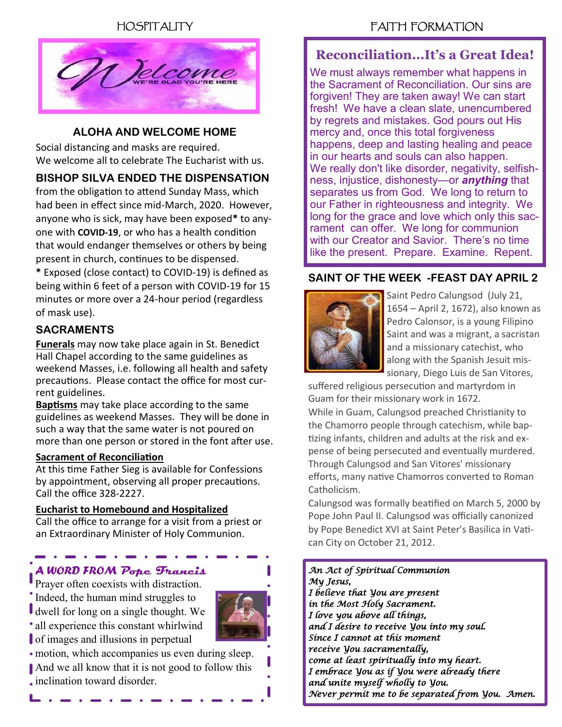HOSPITALITY



#### **ALOHA AND WELCOME HOME**

Social distancing and masks are required. We welcome all to celebrate The Eucharist with us.

#### **BISHOP SILVA ENDED THE DISPENSATION**

from the obligation to attend Sunday Mass, which had been in effect since mid-March, 2020. However, anyone who is sick, may have been exposed**\*** to anyone with **COVID-19**, or who has a health condition that would endanger themselves or others by being present in church, continues to be dispensed.

**\*** Exposed (close contact) to COVID-19) is defined as being within 6 feet of a person with COVID-19 for 15 minutes or more over a 24-hour period (regardless of mask use).

#### **SACRAMENTS**

**Funerals** may now take place again in St. Benedict Hall Chapel according to the same guidelines as weekend Masses, i.e. following all health and safety precautions. Please contact the office for most current guidelines.

**Baptisms** may take place according to the same guidelines as weekend Masses. They will be done in such a way that the same water is not poured on more than one person or stored in the font after use.

#### **Sacrament of Reconciliation**

At this time Father Sieg is available for Confessions by appointment, observing all proper precautions. Call the office 328-2227.

#### **Eucharist to Homebound and Hospitalized**

Call the office to arrange for a visit from a priest or an Extraordinary Minister of Holy Communion.

# *A WORD FROM* **Pope Francis**

Prayer often coexists with distraction. • Indeed, the human mind struggles to dwell for long on a single thought. We all experience this constant whirlwind of images and illusions in perpetual

motion, which accompanies us even during sleep. And we all know that it is not good to follow this inclination toward disorder.

### **Reconciliation...It's a Great Idea!**

We must always remember what happens in the Sacrament of Reconciliation. Our sins are forgiven! They are taken away! We can start fresh! We have a clean slate, unencumbered by regrets and mistakes. God pours out His mercy and, once this total forgiveness happens, deep and lasting healing and peace in our hearts and souls can also happen. We really don't like disorder, negativity, selfishness, injustice, dishonesty—or *anything* that separates us from God. We long to return to our Father in righteousness and integrity. We long for the grace and love which only this sacrament can offer. We long for communion with our Creator and Savior. There's no time like the present. Prepare. Examine. Repent.

#### **SAINT OF THE WEEK -FEAST DAY APRIL 2**



Saint Pedro Calungsod (July 21, 1654 – April 2, 1672), also known as Pedro Calonsor, is a young Filipino Saint and was a migrant, a sacristan and a missionary catechist, who along with the Spanish Jesuit missionary, Diego Luis de San Vitores,

suffered religious persecution and martyrdom in Guam for their missionary work in 1672.

While in Guam, Calungsod preached Christianity to the Chamorro people through catechism, while baptizing infants, children and adults at the risk and expense of being persecuted and eventually murdered. Through Calungsod and San Vitores' missionary efforts, many native Chamorros converted to Roman Catholicism.

Calungsod was formally beatified on March 5, 2000 by Pope John Paul II. Calungsod was officially canonized by Pope Benedict XVI at Saint Peter's Basilica in Vatican City on October 21, 2012.

*An Act of Spiritual Communion My Jesus, I believe that You are present in the Most Holy Sacrament. I love you above all things, and I desire to receive You into my soul. Since I cannot at this moment receive You sacramentally, come at least spiritually into my heart. I embrace You as if You were already there and unite myself wholly to You. Never permit me to be separated from You. Amen.*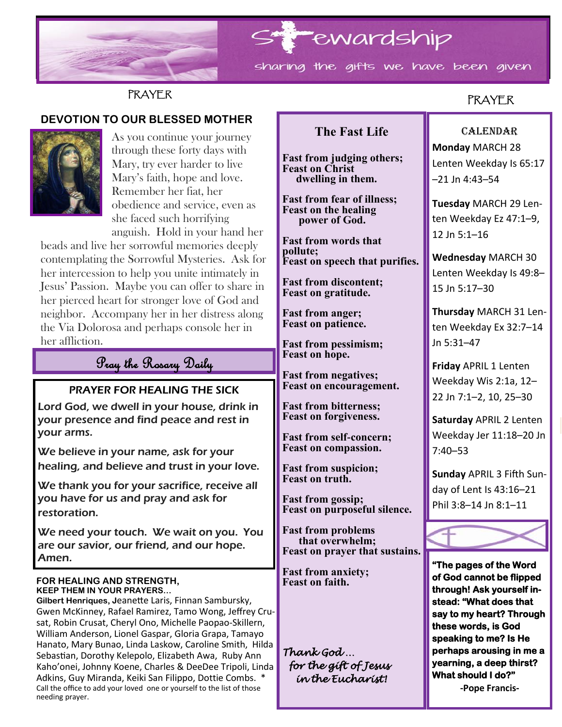

# **PRAYER**

#### **DEVOTION TO OUR BLESSED MOTHER**



As you continue your journey through these forty days with Mary, try ever harder to live Mary's faith, hope and love. Remember her fiat, her obedience and service, even as she faced such horrifying anguish. Hold in your hand her

beads and live her sorrowful memories deeply contemplating the Sorrowful Mysteries. Ask for her intercession to help you unite intimately in Jesus' Passion. Maybe you can offer to share in her pierced heart for stronger love of God and neighbor. Accompany her in her distress along the Via Dolorosa and perhaps console her in her affliction.

# Pray the Rosary Daily

#### PRAYER FOR HEALING THE SICK

Lord God, we dwell in your house, drink in your presence and find peace and rest in your arms.

We believe in your name, ask for your healing, and believe and trust in your love.

We thank you for your sacrifice, receive all you have for us and pray and ask for restoration.

We need your touch. We wait on you. You are our savior, our friend, and our hope. Amen.

#### **FOR HEALING AND STRENGTH, KEEP THEM IN YOUR PRAYERS…**

**Gilbert Henriques, J**eanette Laris, Finnan Sambursky, Gwen McKinney, Rafael Ramirez, Tamo Wong, Jeffrey Crusat, Robin Crusat, Cheryl Ono, Michelle Paopao-Skillern, William Anderson, Lionel Gaspar, Gloria Grapa, Tamayo Hanato, Mary Bunao, Linda Laskow, Caroline Smith, Hilda Sebastian, Dorothy Kelepolo, Elizabeth Awa, Ruby Ann Kaho'onei, Johnny Koene, Charles & DeeDee Tripoli, Linda Adkins, Guy Miranda, Keiki San Filippo, Dottie Combs. \* Call the office to add your loved one or yourself to the list of those needing prayer.

## **The Fast Life**

**Fast from judging others; Feast on Christ dwelling in them.**

**Fast from fear of illness; Feast on the healing power of God.**

**Fast from words that pollute; Feast on speech that purifies.**

**Fast from discontent; Feast on gratitude.**

**Fast from anger; Feast on patience.**

**Fast from pessimism; Feast on hope.**

**Fast from negatives; Feast on encouragement.**

**Fast from bitterness; Feast on forgiveness.**

**Fast from self-concern; Feast on compassion.**

**Fast from suspicion; Feast on truth.**

**Fast from gossip; Feast on purposeful silence.**

**Fast from problems that overwhelm; Feast on prayer that sustains.**

**Fast from anxiety; Feast on faith.**

*Thank God … for the gift of Jesus in the Eucharist!* 

# PRAYER

### CALENDAR **Monday** MARCH 28 Lenten Weekday Is 65:17 –21 Jn 4:43–54

**Tuesday** MARCH 29 Lenten Weekday Ez 47:1–9, 12 Jn 5:1–16

**Wednesday** MARCH 30 Lenten Weekday Is 49:8– 15 Jn 5:17–30

**Thursday** MARCH 31 Lenten Weekday Ex 32:7–14 Jn 5:31–47

**Friday** APRIL 1 Lenten Weekday Wis 2:1a, 12– 22 Jn 7:1–2, 10, 25–30

**Saturday** APRIL 2 Lenten Weekday Jer 11:18–20 Jn 7:40–53

**Sunday** APRIL 3 Fifth Sunday of Lent Is 43:16–21 Phil 3:8–14 Jn 8:1–11



**"The pages of the Word of God cannot be flipped through! Ask yourself instead: "What does that say to my heart? Through these words, is God speaking to me? Is He perhaps arousing in me a yearning, a deep thirst? What should I do?"** 

**-Pope Francis-**